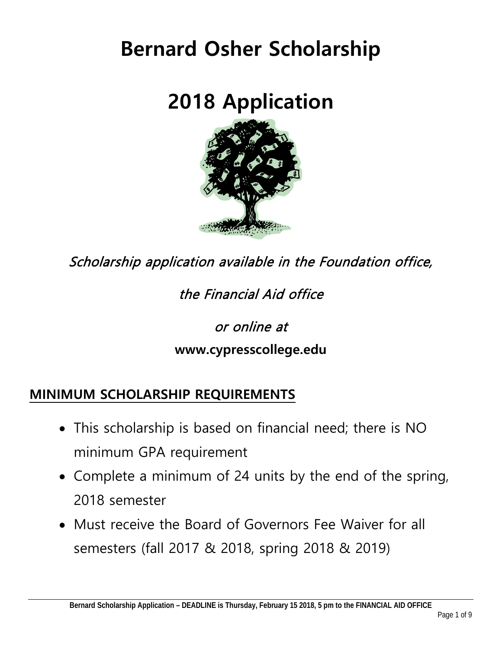# **Bernard Osher Scholarship**

# **2018 Application**



Scholarship application available in the Foundation office,

the Financial Aid office

or online at

### **www.cypresscollege.edu**

### **MINIMUM SCHOLARSHIP REQUIREMENTS**

- This scholarship is based on financial need; there is NO minimum GPA requirement
- Complete a minimum of 24 units by the end of the spring, 2018 semester
- Must receive the Board of Governors Fee Waiver for all semesters (fall 2017 & 2018, spring 2018 & 2019)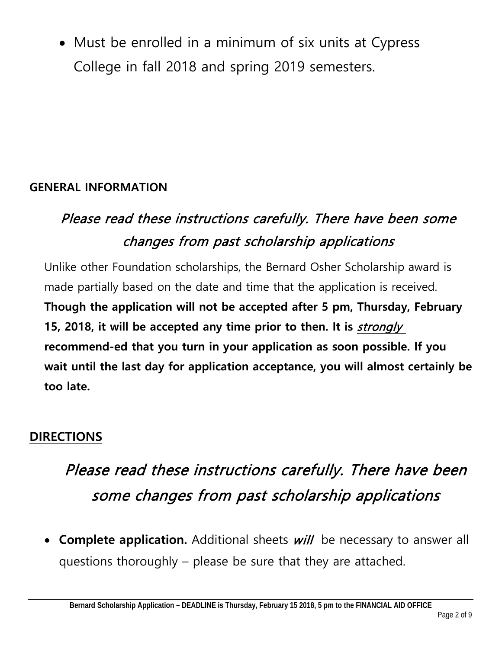• Must be enrolled in a minimum of six units at Cypress College in fall 2018 and spring 2019 semesters.

#### **GENERAL INFORMATION**

### Please read these instructions carefully. There have been some changes from past scholarship applications

Unlike other Foundation scholarships, the Bernard Osher Scholarship award is made partially based on the date and time that the application is received. **Though the application will not be accepted after 5 pm, Thursday, February 15, 2018, it will be accepted any time prior to then. It is** strongly **recommend-ed that you turn in your application as soon possible. If you wait until the last day for application acceptance, you will almost certainly be too late.**

### **DIRECTIONS**

## Please read these instructions carefully. There have been some changes from past scholarship applications

• **Complete application.** Additional sheets will be necessary to answer all questions thoroughly – please be sure that they are attached.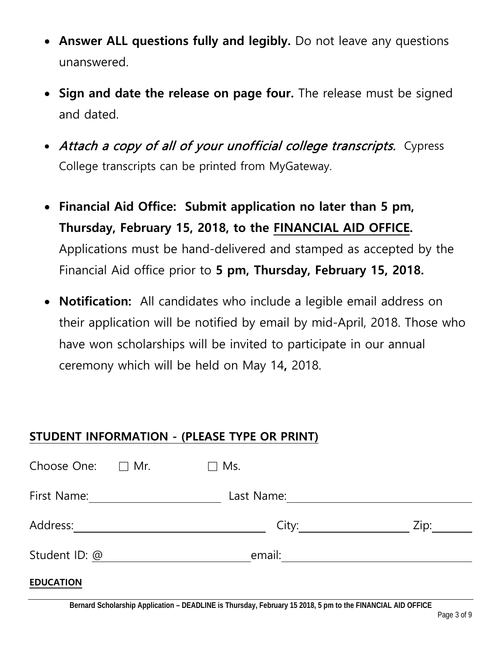- **Answer ALL questions fully and legibly.** Do not leave any questions unanswered.
- **Sign and date the release on page four.** The release must be signed and dated.
- Attach a copy of all of your unofficial college transcripts. Cypress College transcripts can be printed from MyGateway.
- **Financial Aid Office: Submit application no later than 5 pm, Thursday, February 15, 2018, to the FINANCIAL AID OFFICE.** Applications must be hand-delivered and stamped as accepted by the Financial Aid office prior to **5 pm, Thursday, February 15, 2018.**
- **Notification:** All candidates who include a legible email address on their application will be notified by email by mid-April, 2018. Those who have won scholarships will be invited to participate in our annual ceremony which will be held on May 14**,** 2018.

#### **STUDENT INFORMATION - (PLEASE TYPE OR PRINT)**

| Choose One: $\Box$ Mr. | Ms.<br>$\Box$ |      |
|------------------------|---------------|------|
| First Name:            | Last Name:    |      |
| Address:               | City:         | Zip: |
| Student ID: @          | email:        |      |
| <b>EDUCATION</b>       |               |      |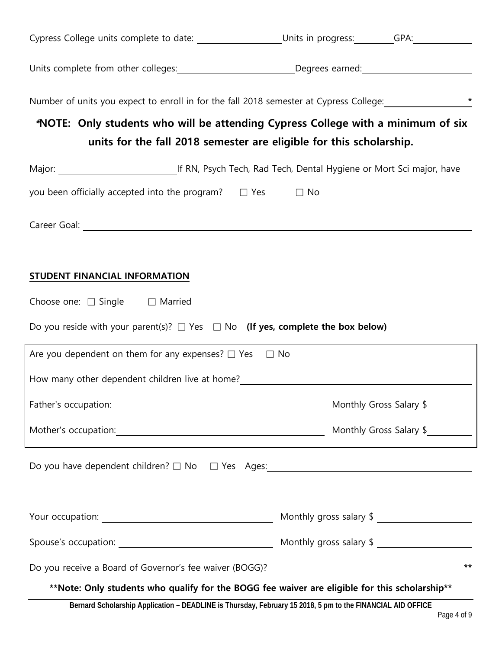| Cypress College units complete to date: ___________________Units in progress: _______GPA: __________           |                         |                         |
|----------------------------------------------------------------------------------------------------------------|-------------------------|-------------------------|
| Units complete from other colleges: __________________________Degrees earned: ______________________           |                         |                         |
| Number of units you expect to enroll in for the fall 2018 semester at Cypress College: ______________________* |                         |                         |
| *NOTE: Only students who will be attending Cypress College with a minimum of six                               |                         |                         |
| units for the fall 2018 semester are eligible for this scholarship.                                            |                         |                         |
|                                                                                                                |                         |                         |
| you been officially accepted into the program? $\Box$ Yes $\Box$ No                                            |                         |                         |
|                                                                                                                |                         |                         |
|                                                                                                                |                         |                         |
| STUDENT FINANCIAL INFORMATION                                                                                  |                         |                         |
| Choose one: $\Box$ Single $\Box$ Married                                                                       |                         |                         |
|                                                                                                                |                         |                         |
| Do you reside with your parent(s)? $\Box$ Yes $\Box$ No (If yes, complete the box below)                       |                         |                         |
| Are you dependent on them for any expenses? $\Box$ Yes $\Box$ No                                               |                         |                         |
|                                                                                                                |                         |                         |
|                                                                                                                |                         | Monthly Gross Salary \$ |
| Mother's occupation: Mother's occupation: Monthly Gross Salary \$                                              |                         |                         |
|                                                                                                                |                         |                         |
|                                                                                                                |                         |                         |
|                                                                                                                | Monthly gross salary \$ |                         |
|                                                                                                                |                         |                         |
|                                                                                                                |                         | $***$                   |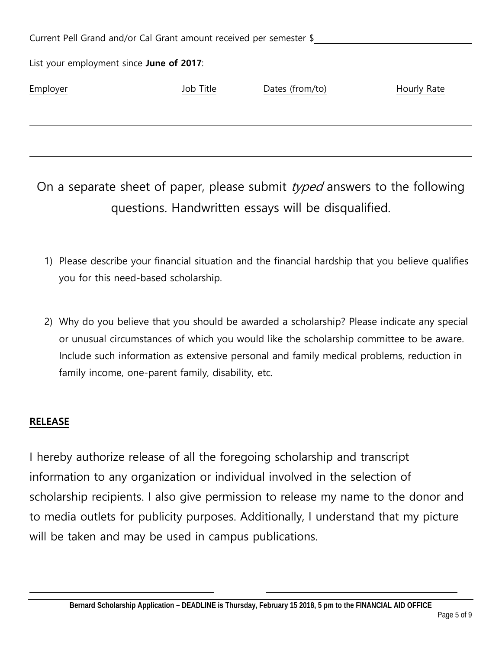| Current Pell Grand and/or Cal Grant amount received per semester \$ |           |                 |             |  |
|---------------------------------------------------------------------|-----------|-----------------|-------------|--|
| List your employment since June of 2017:                            |           |                 |             |  |
| Employer                                                            | Job Title | Dates (from/to) | Hourly Rate |  |
|                                                                     |           |                 |             |  |

On a separate sheet of paper, please submit  $tryped$  answers to the following questions. Handwritten essays will be disqualified.

- 1) Please describe your financial situation and the financial hardship that you believe qualifies you for this need-based scholarship.
- 2) Why do you believe that you should be awarded a scholarship? Please indicate any special or unusual circumstances of which you would like the scholarship committee to be aware. Include such information as extensive personal and family medical problems, reduction in family income, one-parent family, disability, etc.

#### **RELEASE**

I hereby authorize release of all the foregoing scholarship and transcript information to any organization or individual involved in the selection of scholarship recipients. I also give permission to release my name to the donor and to media outlets for publicity purposes. Additionally, I understand that my picture will be taken and may be used in campus publications.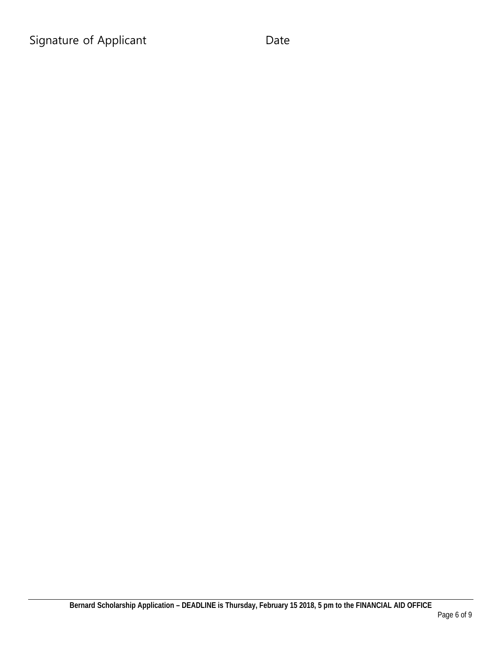Signature of Applicant Date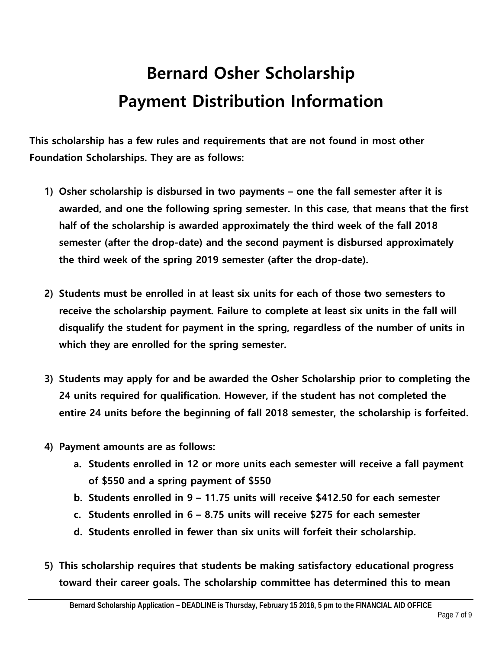## **Bernard Osher Scholarship Payment Distribution Information**

**This scholarship has a few rules and requirements that are not found in most other Foundation Scholarships. They are as follows:**

- **1) Osher scholarship is disbursed in two payments – one the fall semester after it is awarded, and one the following spring semester. In this case, that means that the first half of the scholarship is awarded approximately the third week of the fall 2018 semester (after the drop-date) and the second payment is disbursed approximately the third week of the spring 2019 semester (after the drop-date).**
- **2) Students must be enrolled in at least six units for each of those two semesters to receive the scholarship payment. Failure to complete at least six units in the fall will disqualify the student for payment in the spring, regardless of the number of units in which they are enrolled for the spring semester.**
- **3) Students may apply for and be awarded the Osher Scholarship prior to completing the 24 units required for qualification. However, if the student has not completed the entire 24 units before the beginning of fall 2018 semester, the scholarship is forfeited.**
- **4) Payment amounts are as follows:** 
	- **a. Students enrolled in 12 or more units each semester will receive a fall payment of \$550 and a spring payment of \$550**
	- **b. Students enrolled in 9 – 11.75 units will receive \$412.50 for each semester**
	- **c. Students enrolled in 6 – 8.75 units will receive \$275 for each semester**
	- **d. Students enrolled in fewer than six units will forfeit their scholarship.**
- **5) This scholarship requires that students be making satisfactory educational progress toward their career goals. The scholarship committee has determined this to mean**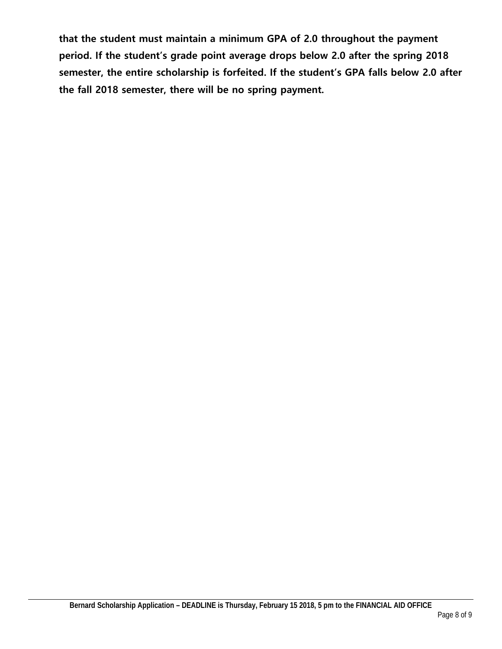**that the student must maintain a minimum GPA of 2.0 throughout the payment period. If the student's grade point average drops below 2.0 after the spring 2018 semester, the entire scholarship is forfeited. If the student's GPA falls below 2.0 after the fall 2018 semester, there will be no spring payment.**